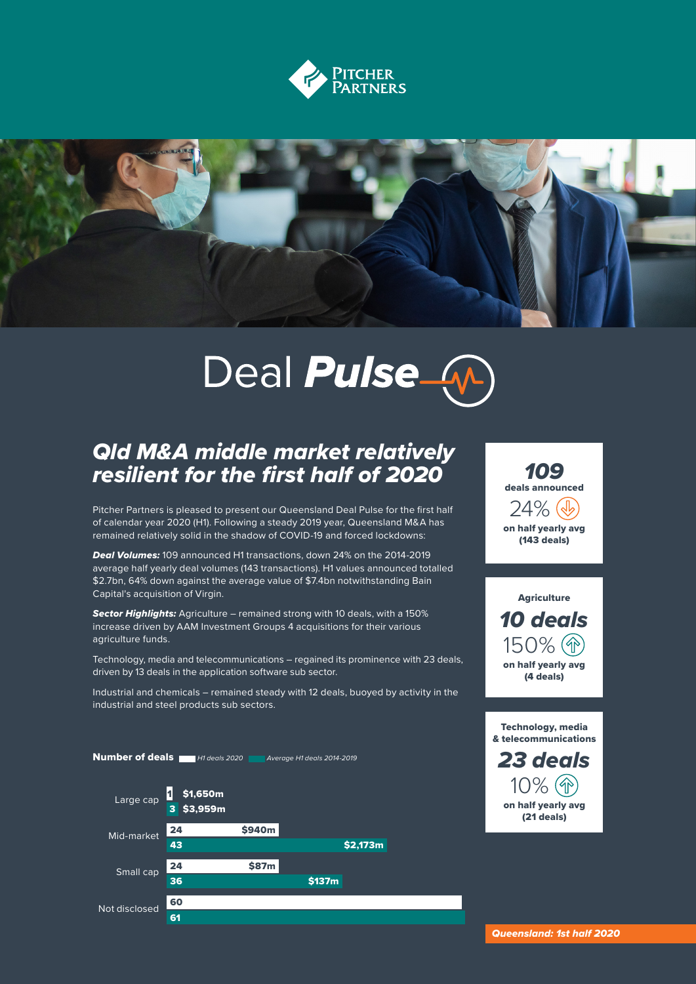## PITCHER<br>Partners



# Deal *Pulse\_*

### *Qld M&A middle market relatively resilient for the first half of 2020*

Pitcher Partners is pleased to present our Queensland Deal Pulse for the first half of calendar year 2020 (H1). Following a steady 2019 year, Queensland M&A has remained relatively solid in the shadow of COVID-19 and forced lockdowns:

*Deal Volumes:* 109 announced H1 transactions, down 24% on the 2014-2019 average half yearly deal volumes (143 transactions). H1 values announced totalled \$2.7bn, 64% down against the average value of \$7.4bn notwithstanding Bain Capital's acquisition of Virgin.

*Sector Highlights:* Agriculture – remained strong with 10 deals, with a 150% increase driven by AAM Investment Groups 4 acquisitions for their various agriculture funds.

Technology, media and telecommunications – regained its prominence with 23 deals, driven by 13 deals in the application software sub sector.

Industrial and chemicals – remained steady with 12 deals, buoyed by activity in the industrial and steel products sub sectors.

Number of deals *H1 deals 2020 Average H1 deals 2014-2019*







Technology, media & telecommunications

*23 deals* 10% → on half yearly avg (21 deals)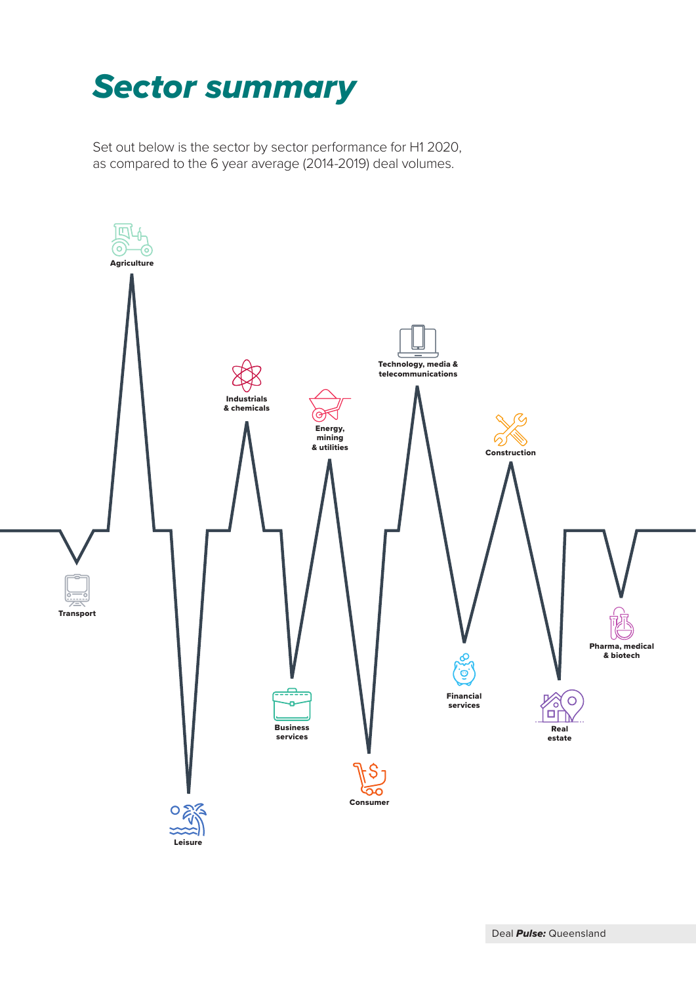### *Sector summary*

Set out below is the sector by sector performance for H1 2020, as compared to the 6 year average (2014-2019) deal volumes.

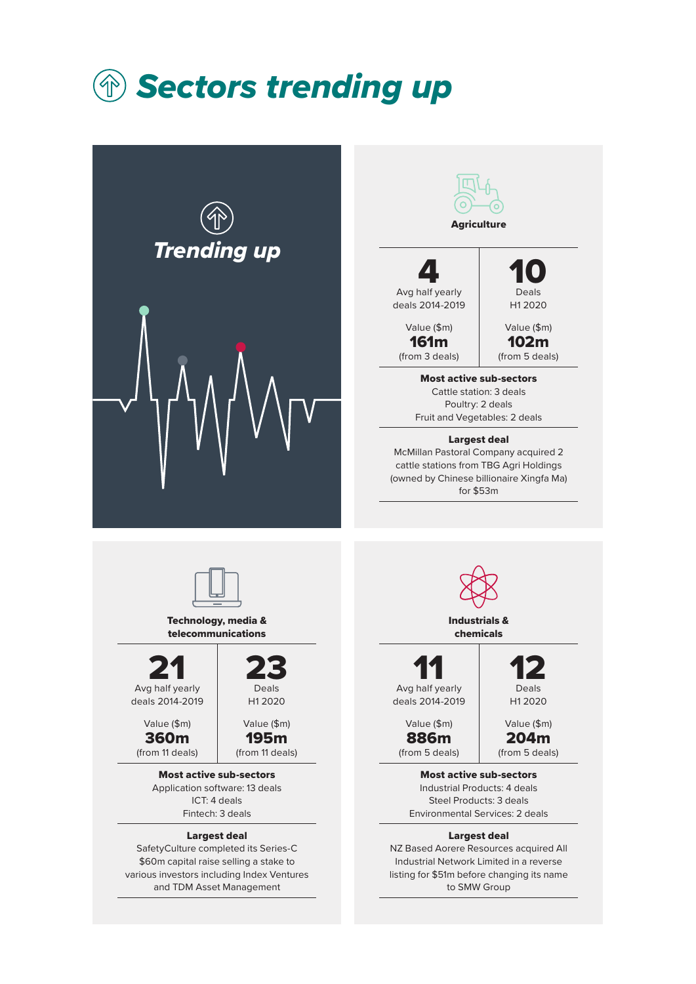



Largest deal SafetyCulture completed its Series-C \$60m capital raise selling a stake to various investors including Index Ventures

Fintech: 3 deals

and TDM Asset Management

Environmental Services: 2 deals

#### Largest deal

NZ Based Aorere Resources acquired All Industrial Network Limited in a reverse listing for \$51m before changing its name to SMW Group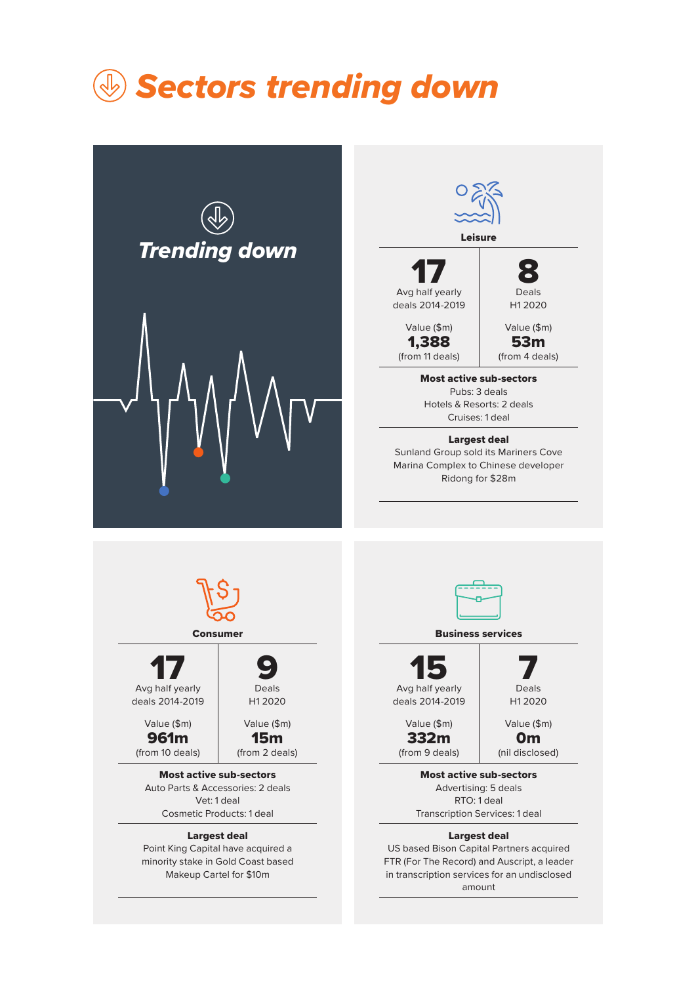### *Sectors trending down*





#### Largest deal Sunland Group sold its Mariners Cove Marina Complex to Chinese developer

Ridong for \$28m



Business services 15 Avg half yearly

(from 9 deals)

deals 2014-2019 Value (\$m) 332m

7 Deals H1 2020

Value (\$m) 0m

(nil disclosed)

Most active sub-sectors Advertising: 5 deals RTO: 1 deal Transcription Services: 1 deal

#### Largest deal

US based Bison Capital Partners acquired FTR (For The Record) and Auscript, a leader in transcription services for an undisclosed amount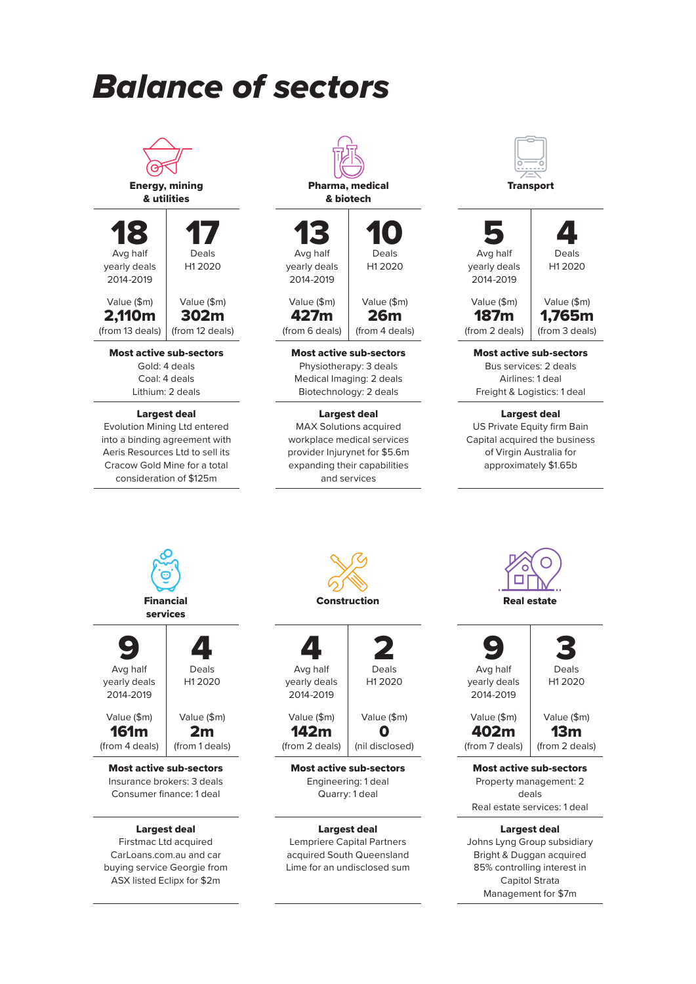### *Balance of sectors*



#### Energy, mining & utilities



Most active sub-sectors Gold: 4 deals Coal: 4 deals Lithium: 2 deals

#### Largest deal

Evolution Mining Ltd entered into a binding agreement with Aeris Resources Ltd to sell its Cracow Gold Mine for a total consideration of \$125m



13 Avg half yearly deals 2014-2019

Value (\$m) 427m (from 6 deals)

Value (\$m) 26m (from 4 deals)

10 Deals H1 2020

Most active sub-sectors Physiotherapy: 3 deals Medical Imaging: 2 deals Biotechnology: 2 deals

#### Largest deal

MAX Solutions acquired workplace medical services provider Injurynet for \$5.6m expanding their capabilities and services



**Transport** 



Most active sub-sectors Bus services: 2 deals Airlines: 1 deal Freight & Logistics: 1 deal

#### Largest deal US Private Equity firm Bain Capital acquired the business of Virgin Australia for approximately \$1.65b

Financial services 9 Avg half yearly deals 2014-2019 4 Deals H1 2020 Value (\$m) 161m (from 4 deals) Value (\$m) 2m (from 1 deals)

Most active sub-sectors Insurance brokers: 3 deals Consumer finance: 1 deal

#### Largest deal

Firstmac Ltd acquired CarLoans.com.au and car buying service Georgie from ASX listed Eclipx for \$2m



yearly deals 2014-2019 H1 2020 Value (\$m) Value (\$m)

142m (from 2 deals)

(nil disclosed) Most active sub-sectors Engineering: 1 deal

0

Quarry: 1 deal

#### Largest deal

Lempriere Capital Partners acquired South Queensland Lime for an undisclosed sum



3 Deals

9 Avg half yearly deals 2014-2019

Value (\$m) 402m (from 7 deals) Value (\$m) 13m

H1 2020

(from 2 deals)

Most active sub-sectors Property management: 2 deals Real estate services: 1 deal

#### Largest deal

Johns Lyng Group subsidiary Bright & Duggan acquired 85% controlling interest in Capitol Strata Management for \$7m